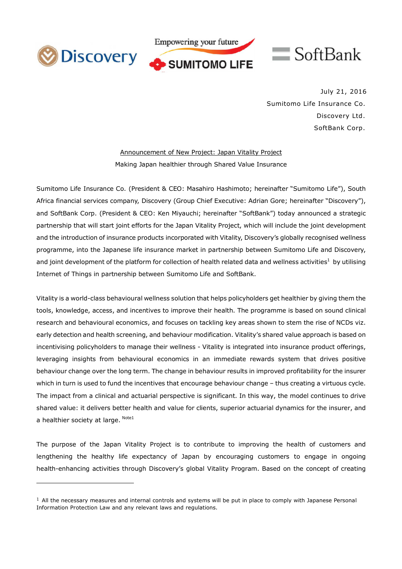

 $\overline{a}$ 



July 21, 2016 Sumitomo Life Insurance Co. Discovery Ltd. SoftBank Corp.

Announcement of New Project: Japan Vitality Project Making Japan healthier through Shared Value Insurance

Sumitomo Life Insurance Co. (President & CEO: Masahiro Hashimoto; hereinafter "Sumitomo Life"), South Africa financial services company, Discovery (Group Chief Executive: Adrian Gore; hereinafter "Discovery"), and SoftBank Corp. (President & CEO: Ken Miyauchi; hereinafter "SoftBank") today announced a strategic partnership that will start joint efforts for the Japan Vitality Project, which will include the joint development and the introduction of insurance products incorporated with Vitality, Discovery's globally recognised wellness programme, into the Japanese life insurance market in partnership between Sumitomo Life and Discovery, and joint development of the platform for collection of health related data and wellness activities<sup>1</sup> by utilising Internet of Things in partnership between Sumitomo Life and SoftBank.

Vitality is a world-class behavioural wellness solution that helps policyholders get healthier by giving them the tools, knowledge, access, and incentives to improve their health. The programme is based on sound clinical research and behavioural economics, and focuses on tackling key areas shown to stem the rise of NCDs viz. early detection and health screening, and behaviour modification. Vitality's shared value approach is based on incentivising policyholders to manage their wellness - Vitality is integrated into insurance product offerings, leveraging insights from behavioural economics in an immediate rewards system that drives positive behaviour change over the long term. The change in behaviour results in improved profitability for the insurer which in turn is used to fund the incentives that encourage behaviour change – thus creating a virtuous cycle. The impact from a clinical and actuarial perspective is significant. In this way, the model continues to drive shared value: it delivers better health and value for clients, superior actuarial dynamics for the insurer, and a healthier society at large. <sup>Note1</sup>

The purpose of the Japan Vitality Project is to contribute to improving the health of customers and lengthening the healthy life expectancy of Japan by encouraging customers to engage in ongoing health-enhancing activities through Discovery's global Vitality Program. Based on the concept of creating

 $<sup>1</sup>$  All the necessary measures and internal controls and systems will be put in place to comply with Japanese Personal</sup> Information Protection Law and any relevant laws and regulations.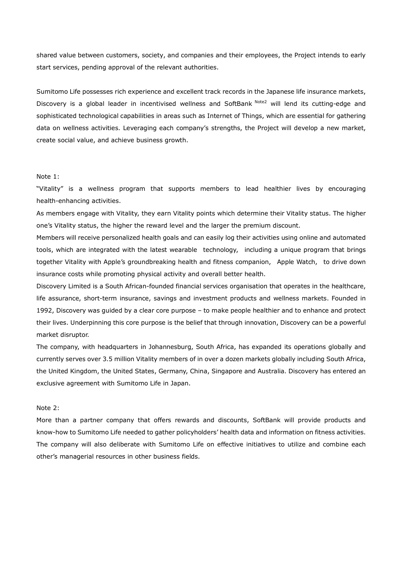shared value between customers, society, and companies and their employees, the Project intends to early start services, pending approval of the relevant authorities.

Sumitomo Life possesses rich experience and excellent track records in the Japanese life insurance markets, Discovery is a global leader in incentivised wellness and SoftBank <sup>Note2</sup> will lend its cutting-edge and sophisticated technological capabilities in areas such as Internet of Things, which are essential for gathering data on wellness activities. Leveraging each company's strengths, the Project will develop a new market, create social value, and achieve business growth.

## Note 1:

"Vitality" is a wellness program that supports members to lead healthier lives by encouraging health-enhancing activities.

As members engage with Vitality, they earn Vitality points which determine their Vitality status. The higher one's Vitality status, the higher the reward level and the larger the premium discount.

Members will receive personalized health goals and can easily log their activities using online and automated tools, which are integrated with the latest wearable technology, including a unique program that brings together Vitality with Apple's groundbreaking health and fitness companion, Apple Watch, to drive down insurance costs while promoting physical activity and overall better health.

Discovery Limited is a South African-founded financial services organisation that operates in the healthcare, life assurance, short-term insurance, savings and investment products and wellness markets. Founded in 1992, Discovery was guided by a clear core purpose – to make people healthier and to enhance and protect their lives. Underpinning this core purpose is the belief that through innovation, Discovery can be a powerful market disruptor.

The company, with headquarters in Johannesburg, South Africa, has expanded its operations globally and currently serves over 3.5 million Vitality members of in over a dozen markets globally including South Africa, the United Kingdom, the United States, Germany, China, Singapore and Australia. Discovery has entered an exclusive agreement with Sumitomo Life in Japan.

## Note 2:

More than a partner company that offers rewards and discounts, SoftBank will provide products and know-how to Sumitomo Life needed to gather policyholders' health data and information on fitness activities. The company will also deliberate with Sumitomo Life on effective initiatives to utilize and combine each other's managerial resources in other business fields.